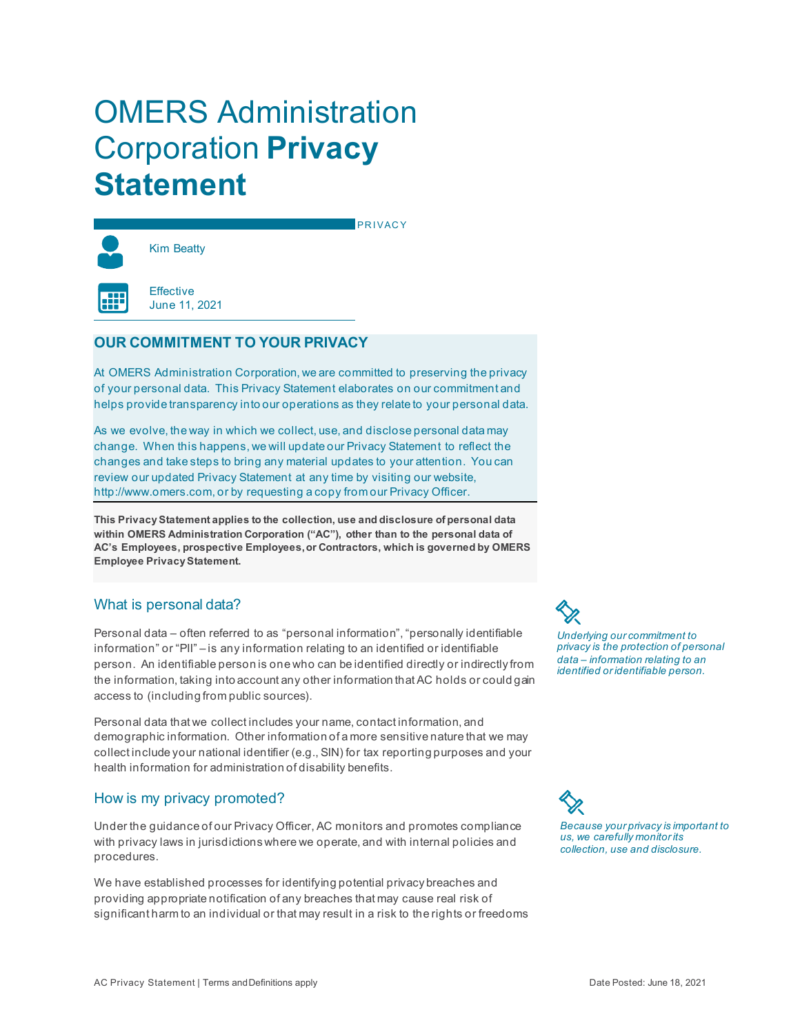# OMERS Administration Corporation **Privacy Statement**



PRIVACY

**Effective** June 11, 2021

# **OUR COMMITMENT TO YOUR PRIVACY**

At OMERS Administration Corporation, we are committed to preserving the privacy of your personal data. This Privacy Statement elaborates on our commitment and helps provide transparency into our operations as they relate to your personal data.

As we evolve, the way in which we collect, use, and disclose personal data may change. When this happens, we will update our Privacy Statement to reflect the changes and take steps to bring any material updates to your attention. You can review our updated Privacy Statement at any time by visiting our website, [http://www.omers.com,](http://www.omers.com) or by requesting a copy from our Privacy Officer.

**This Privacy Statement applies to the collection, use and disclosure of personal data within OMERS Administration Corporation ("AC"), other than to the personal data of AC's Employees, prospective Employees, or Contractors, which is governed by OMERS Employee Privacy Statement.**

# What is personal data?

Personal data – often referred to as "personal information", "personally identifiable information" or "PII" – is any information relating to an identified or identifiable person. An identifiable person is one who can be identified directly or indirectly from the information, taking into account any other information that AC holds or could gain access to (including from public sources).

Personal data that we collect includes your name, contact information, and demographic information. Other information of a more sensitive nature that we may collect include your national identifier (e.g., SIN) for tax reporting purposes and your health information for administration of disability benefits.

# How is my privacy promoted?

Under the guidance of our Privacy Officer, AC monitors and promotes compliance with privacy laws in jurisdictions where we operate, and with internal policies and procedures.

We have established processes for identifying potential privacy breaches and providing appropriate notification of any breaches that may cause real risk of significant harm to an individual or that may result in a risk to the rights or freedoms *Underlying our commitment to privacy is the protection of personal data – information relating to an identified or identifiable person.*

*Because your privacy is important to us, we carefully monitor its collection, use and disclosure.*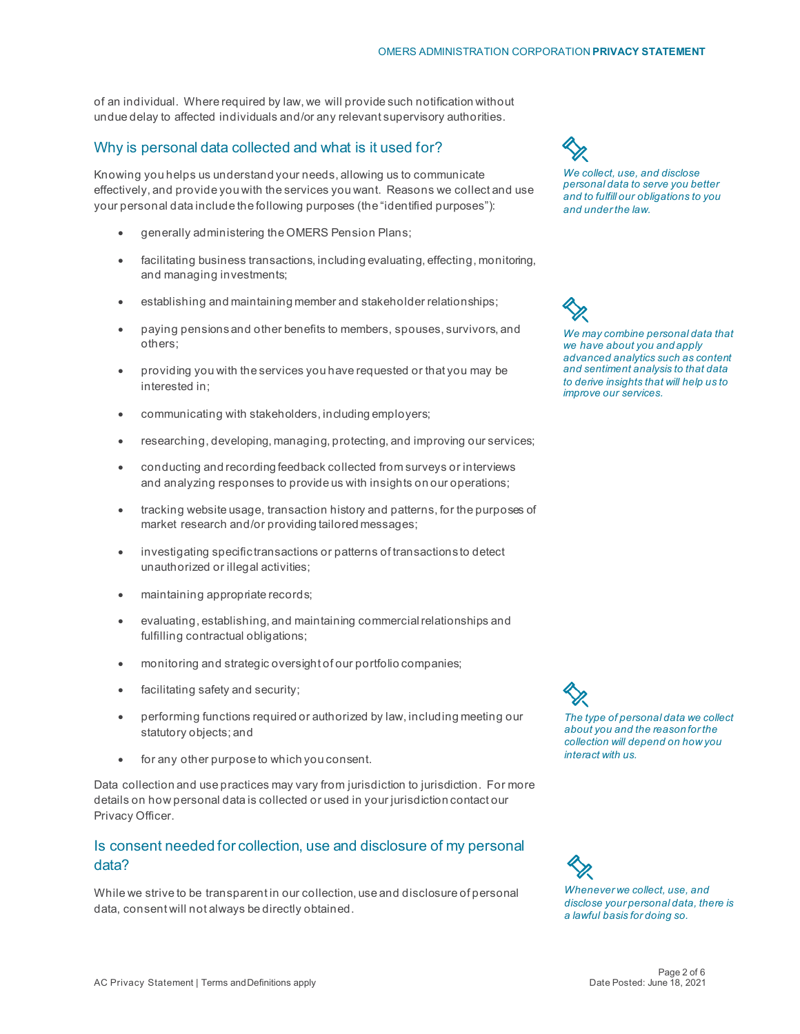of an individual. Where required by law, we will provide such notification without undue delay to affected individuals and/or any relevant supervisory authorities.

## Why is personal data collected and what is it used for?

Knowing you helps us understand your needs, allowing us to communicate effectively, and provide you with the services you want. Reasons we collect and use your personal data include the following purposes (the "identified purposes"):

- generally administering the OMERS Pension Plans;
- facilitating business transactions, including evaluating, effecting, monitoring, and managing investments;
- establishing and maintaining member and stakeholder relationships;
- paying pensions and other benefits to members, spouses, survivors, and others;
- providing you with the services you have requested or that you may be interested in;
- communicating with stakeholders, including employers;
- researching, developing, managing, protecting, and improving our services;
- conducting and recording feedback collected from surveys or interviews and analyzing responses to provide us with insights on our operations;
- tracking website usage, transaction history and patterns, for the purposes of market research and/or providing tailored messages;
- investigating specific transactions or patterns of transactions to detect unauthorized or illegal activities;
- maintaining appropriate records;
- evaluating, establishing, and maintaining commercial relationships and fulfilling contractual obligations;
- monitoring and strategic oversight of our portfolio companies;
- facilitating safety and security;
- performing functions required or authorized by law, including meeting our statutory objects; and
- for any other purpose to which you consent.

Data collection and use practices may vary from jurisdiction to jurisdiction. For more details on how personal data is collected or used in your jurisdiction contact our Privacy Officer.

# Is consent needed for collection, use and disclosure of my personal data?

While we strive to be transparent in our collection, use and disclosure of personal data, consent will not always be directly obtained.

*We collect, use, and disclose personal data to serve you better and to fulfill our obligations to you and under the law.*

*We may combine personal data that we have about you and apply advanced analytics such as content and sentiment analysis to that data to derive insights that will help us to* 

*improve our services.*

*The type of personal data we collect about you and the reason for the collection will depend on how you interact with us.*

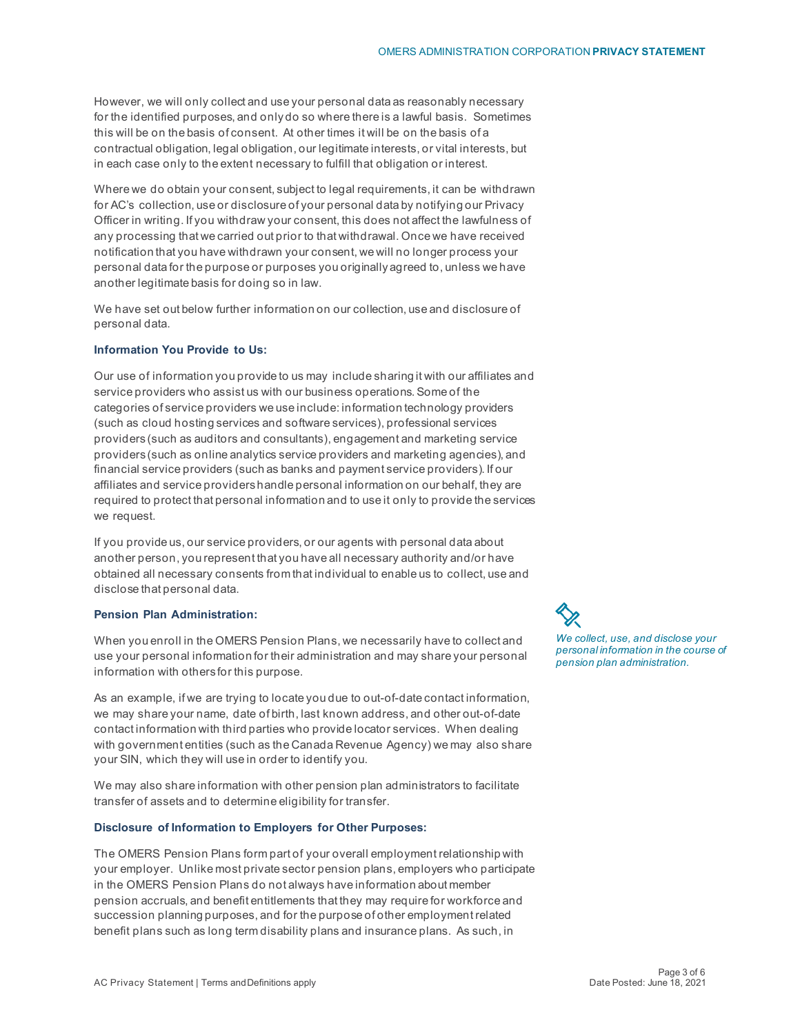However, we will only collect and use your personal data as reasonably necessary for the identified purposes, and only do so where there is a lawful basis. Sometimes this will be on the basis of consent. At other times it will be on the basis of a contractual obligation, legal obligation, our legitimate interests, or vital interests, but in each case only to the extent necessary to fulfill that obligation or interest.

Where we do obtain your consent, subject to legal requirements, it can be withdrawn for AC's collection, use or disclosure of your personal data by notifying our Privacy Officer in writing. If you withdraw your consent, this does not affect the lawfulness of any processing that we carried out prior to that withdrawal. Once we have received notification that you have withdrawn your consent, we will no longer process your personal data for the purpose or purposes you originally agreed to, unless we have another legitimate basis for doing so in law.

We have set out below further information on our collection, use and disclosure of personal data.

#### **Information You Provide to Us:**

Our use of information you provide to us may include sharing it with our affiliates and service providers who assist us with our business operations. Some of the categories of service providers we use include: information technology providers (such as cloud hosting services and software services), professional services providers (such as auditors and consultants), engagement and marketing service providers (such as online analytics service providers and marketing agencies), and financial service providers (such as banks and payment service providers). If our affiliates and service providers handle personal information on our behalf, they are required to protect that personal information and to use it only to provide the services we request.

If you provide us, our service providers, or our agents with personal data about another person, you represent that you have all necessary authority and/or have obtained all necessary consents from that individual to enable us to collect, use and disclose that personal data.

#### **Pension Plan Administration:**

When you enroll in the OMERS Pension Plans, we necessarily have to collect and use your personal information for their administration and may share your personal information with others for this purpose.

As an example, if we are trying to locate you due to out-of-date contact information, we may share your name, date of birth, last known address, and other out-of-date contact information with third parties who provide locator services. When dealing with government entities (such as the Canada Revenue Agency) we may also share your SIN, which they will use in order to identify you.

We may also share information with other pension plan administrators to facilitate transfer of assets and to determine eligibility for transfer.

#### **Disclosure of Information to Employers for Other Purposes:**

The OMERS Pension Plans form part of your overall employment relationship with your employer. Unlike most private sector pension plans, employers who participate in the OMERS Pension Plans do not always have information about member pension accruals, and benefit entitlements that they may require for workforce and succession planning purposes, and for the purpose of other employment related benefit plans such as long term disability plans and insurance plans. As such, in

*We collect, use, and disclose your personal information in the course of pension plan administration.*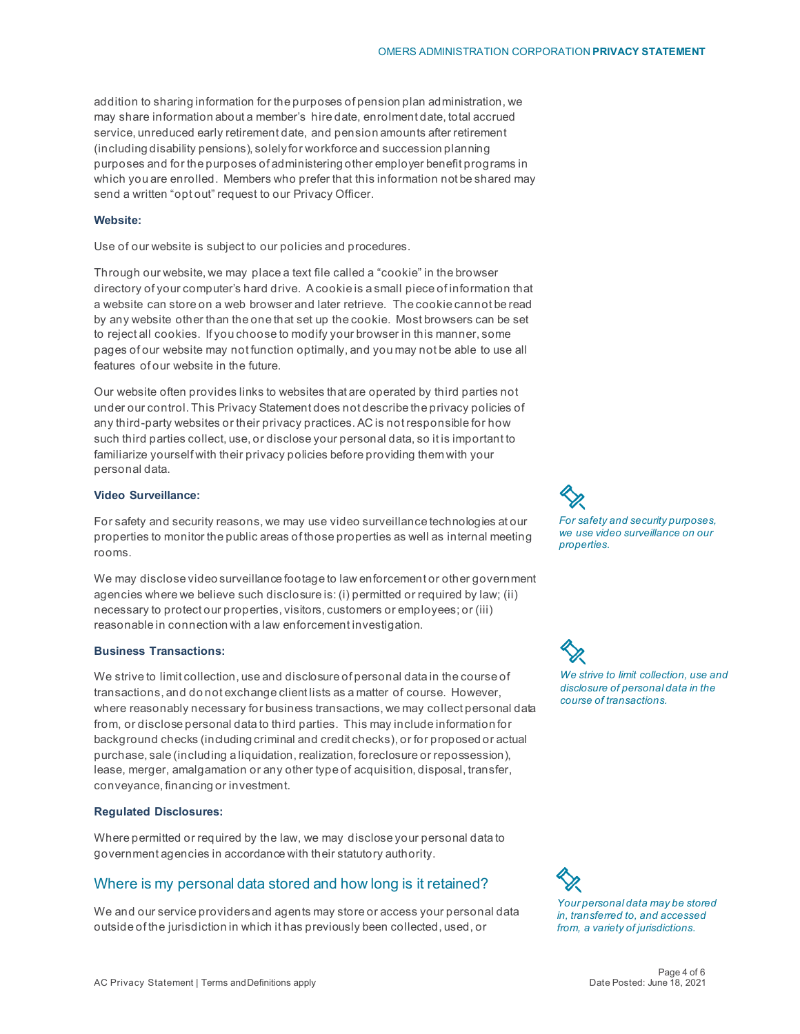addition to sharing information for the purposes of pension plan administration, we may share information about a member's hire date, enrolment date, total accrued service, unreduced early retirement date, and pension amounts after retirement (including disability pensions), solely for workforce and succession planning purposes and for the purposes of administering other employer benefit programs in which you are enrolled. Members who prefer that this information not be shared may send a written "opt out" request to our Privacy Officer.

#### **Website:**

Use of our website is subject to our policies and procedures.

Through our website, we may place a text file called a "cookie" in the browser directory of your computer's hard drive. Acookie is a small piece of information that a website can store on a web browser and later retrieve. The cookie cannot be read by any website other than the one that set up the cookie. Most browsers can be set to reject all cookies. If you choose to modify your browser in this manner, some pages of our website may not function optimally, and you may not be able to use all features of our website in the future.

Our website often provides links to websites that are operated by third parties not under our control. This Privacy Statement does not describe the privacy policies of any third-party websites or their privacy practices. AC is not responsible for how such third parties collect, use, or disclose your personal data, so it is important to familiarize yourself with their privacy policies before providing them with your personal data.

### **Video Surveillance:**

For safety and security reasons, we may use video surveillance technologies at our properties to monitor the public areas of those properties as well as internal meeting rooms.

We may disclose video surveillance footage to law enforcement or other government agencies where we believe such disclosure is: (i) permitted or required by law; (ii) necessary to protect our properties, visitors, customers or employees; or (iii) reasonable in connection with a law enforcement investigation.

#### **Business Transactions:**

We strive to limit collection, use and disclosure of personal data in the course of transactions, and do not exchange client lists as a matter of course. However, where reasonably necessary for business transactions, we may collect personal data from, or disclose personal data to third parties. This may include information for background checks (including criminal and credit checks), or for proposed or actual purchase, sale (including a liquidation, realization, foreclosure or repossession), lease, merger, amalgamation or any other type of acquisition, disposal, transfer, conveyance, financing or investment.

## **Regulated Disclosures:**

Where permitted or required by the law, we may disclose your personal data to government agencies in accordance with their statutory authority.

## Where is my personal data stored and how long is it retained?

We and our service providers and agents may store or access your personal data outside of the jurisdiction in which it has previously been collected, used, or

*For safety and security purposes, we use video surveillance on our properties.*

*We strive to limit collection, use and disclosure of personal data in the course of transactions.*

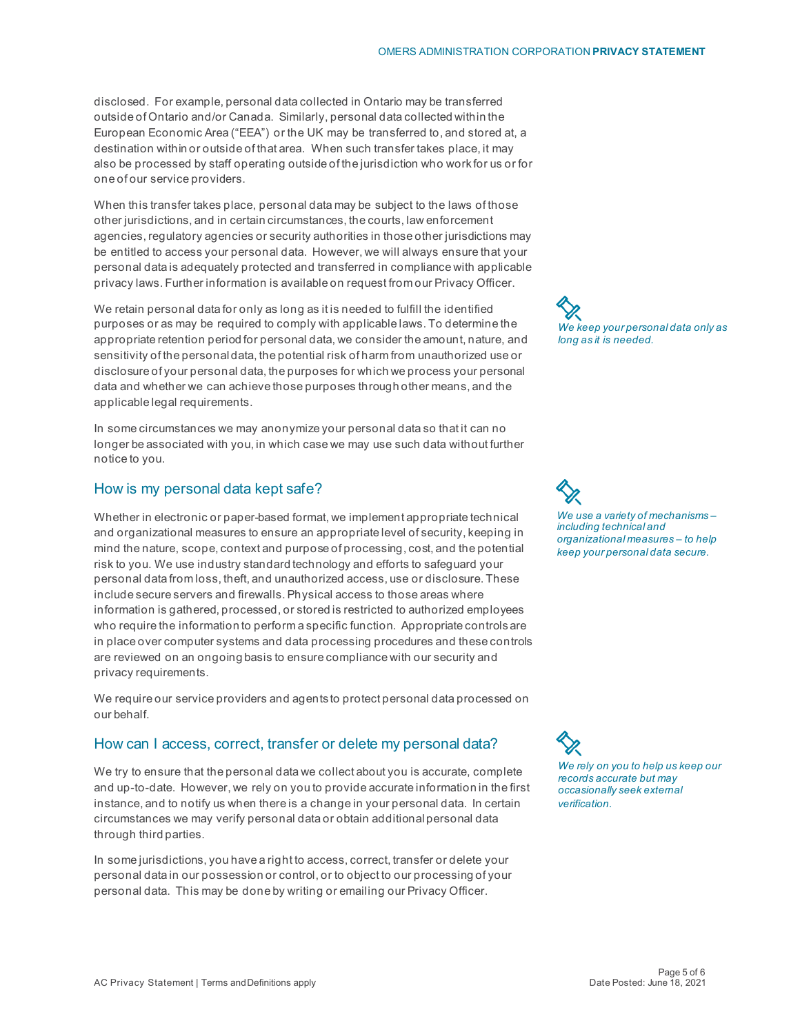disclosed. For example, personal data collected in Ontario may be transferred outside of Ontario and/or Canada. Similarly, personal data collected within the European Economic Area ("EEA") or the UK may be transferred to, and stored at, a destination within or outside of that area. When such transfer takes place, it may also be processed by staff operating outside of the jurisdiction who work for us or for one of our service providers.

When this transfer takes place, personal data may be subject to the laws of those other jurisdictions, and in certain circumstances, the courts, law enforcement agencies, regulatory agencies or security authorities in those other jurisdictions may be entitled to access your personal data. However, we will always ensure that your personal data is adequately protected and transferred in compliance with applicable privacy laws. Further information is available on request from our Privacy Officer.

We retain personal data for only as long as it is needed to fulfill the identified purposes or as may be required to comply with applicable laws. To determine the appropriate retention period for personal data, we consider the amount, nature, and sensitivity of the personal data, the potential risk of harm from unauthorized use or disclosure of your personal data, the purposes for which we process your personal data and whether we can achieve those purposes through other means, and the applicable legal requirements.

In some circumstances we may anonymize your personal data so that it can no longer be associated with you, in which case we may use such data without further notice to you.

# How is my personal data kept safe?

Whether in electronic or paper-based format, we implement appropriate technical and organizational measures to ensure an appropriate level of security, keeping in mind the nature, scope, context and purpose of processing, cost, and the potential risk to you. We use industry standard technology and efforts to safeguard your personal data from loss, theft, and unauthorized access, use or disclosure. These include secure servers and firewalls. Physical access to those areas where information is gathered, processed, or stored is restricted to authorized employees who require the information to perform a specific function. Appropriate controls are in place over computer systems and data processing procedures and these controls are reviewed on an ongoing basis to ensure compliance with our security and privacy requirements.

We require our service providers and agents to protect personal data processed on our behalf.

## How can I access, correct, transfer or delete my personal data?

We try to ensure that the personal data we collect about you is accurate, complete and up-to-date. However, we rely on you to provide accurate information in the first instance, and to notify us when there is a change in your personal data. In certain circumstances we may verify personal data or obtain additional personal data through third parties.

In some jurisdictions, you have a right to access, correct, transfer or delete your personal data in our possession or control, or to object to our processing of your personal data. This may be done by writing or emailing our Privacy Officer.



*We use a variety of mechanisms – including technical and organizational measures – to help keep your personal data secure.*

*We rely on you to help us keep our records accurate but may occasionally seek external verification.*